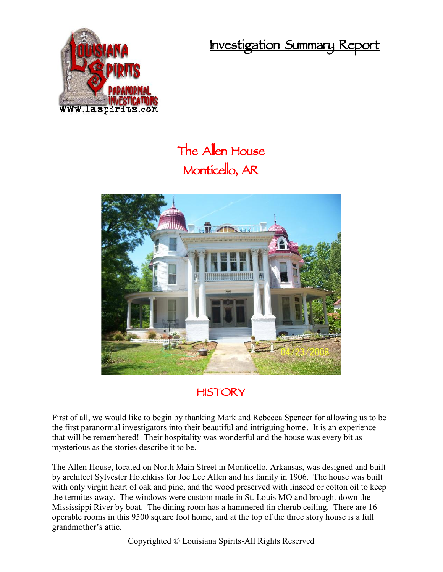**Investigation Summary Report**



# **The Allen House Monticello, AR**



## **HISTORY**

First of all, we would like to begin by thanking Mark and Rebecca Spencer for allowing us to be the first paranormal investigators into their beautiful and intriguing home. It is an experience that will be remembered! Their hospitality was wonderful and the house was every bit as mysterious as the stories describe it to be.

The Allen House, located on North Main Street in Monticello, Arkansas, was designed and built by architect Sylvester Hotchkiss for Joe Lee Allen and his family in 1906. The house was built with only virgin heart of oak and pine, and the wood preserved with linseed or cotton oil to keep the termites away. The windows were custom made in St. Louis MO and brought down the Mississippi River by boat. The dining room has a hammered tin cherub ceiling. There are 16 operable rooms in this 9500 square foot home, and at the top of the three story house is a full grandmother's attic.

Copyrighted © Louisiana Spirits-All Rights Reserved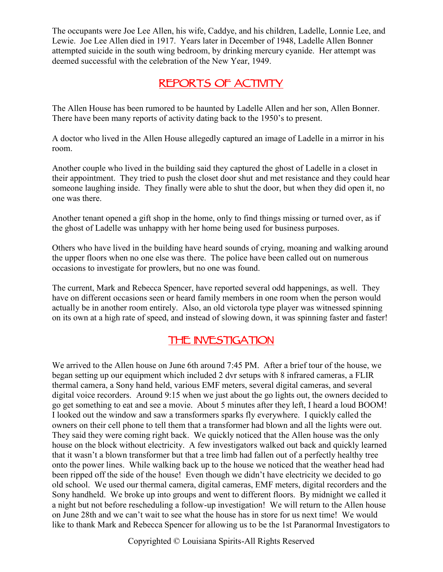The occupants were Joe Lee Allen, his wife, Caddye, and his children, Ladelle, Lonnie Lee, and Lewie. Joe Lee Allen died in 1917. Years later in December of 1948, Ladelle Allen Bonner attempted suicide in the south wing bedroom, by drinking mercury cyanide. Her attempt was deemed successful with the celebration of the New Year, 1949.

### **REPORTS OF ACTIVITY**

The Allen House has been rumored to be haunted by Ladelle Allen and her son, Allen Bonner. There have been many reports of activity dating back to the 1950's to present.

A doctor who lived in the Allen House allegedly captured an image of Ladelle in a mirror in his room.

Another couple who lived in the building said they captured the ghost of Ladelle in a closet in their appointment. They tried to push the closet door shut and met resistance and they could hear someone laughing inside. They finally were able to shut the door, but when they did open it, no one was there.

Another tenant opened a gift shop in the home, only to find things missing or turned over, as if the ghost of Ladelle was unhappy with her home being used for business purposes.

Others who have lived in the building have heard sounds of crying, moaning and walking around the upper floors when no one else was there. The police have been called out on numerous occasions to investigate for prowlers, but no one was found.

The current, Mark and Rebecca Spencer, have reported several odd happenings, as well. They have on different occasions seen or heard family members in one room when the person would actually be in another room entirely. Also, an old victorola type player was witnessed spinning on its own at a high rate of speed, and instead of slowing down, it was spinning faster and faster!

## **THE INVESTIGATION**

We arrived to the Allen house on June 6th around 7:45 PM. After a brief tour of the house, we began setting up our equipment which included 2 dvr setups with 8 infrared cameras, a FLIR thermal camera, a Sony hand held, various EMF meters, several digital cameras, and several digital voice recorders. Around 9:15 when we just about the go lights out, the owners decided to go get something to eat and see a movie. About 5 minutes after they left, I heard a loud BOOM! I looked out the window and saw a transformers sparks fly everywhere. I quickly called the owners on their cell phone to tell them that a transformer had blown and all the lights were out. They said they were coming right back. We quickly noticed that the Allen house was the only house on the block without electricity. A few investigators walked out back and quickly learned that it wasn't a blown transformer but that a tree limb had fallen out of a perfectly healthy tree onto the power lines. While walking back up to the house we noticed that the weather head had been ripped off the side of the house! Even though we didn't have electricity we decided to go old school. We used our thermal camera, digital cameras, EMF meters, digital recorders and the Sony handheld. We broke up into groups and went to different floors. By midnight we called it a night but not before rescheduling a follow-up investigation! We will return to the Allen house on June 28th and we can't wait to see what the house has in store for us next time! We would like to thank Mark and Rebecca Spencer for allowing us to be the 1st Paranormal Investigators to

Copyrighted © Louisiana Spirits-All Rights Reserved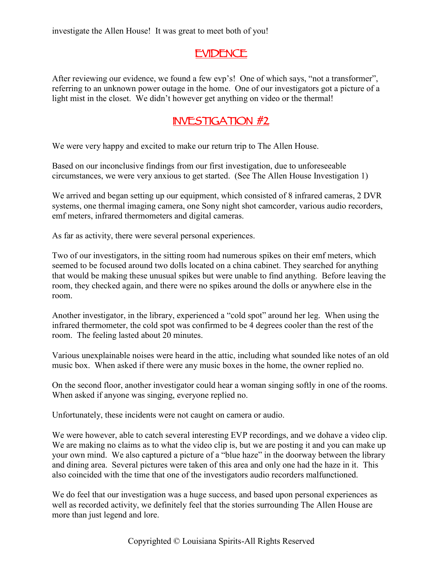investigate the Allen House! It was great to meet both of you!

#### **EVIDENCE**

After reviewing our evidence, we found a few evp's! One of which says, "not a transformer", referring to an unknown power outage in the home. One of our investigators got a picture of a light mist in the closet. We didn't however get anything on video or the thermal!

#### **INVESTIGATION #2**

We were very happy and excited to make our return trip to The Allen House.

Based on our inconclusive findings from our first investigation, due to unforeseeable circumstances, we were very anxious to get started. (See The Allen House Investigation 1)

We arrived and began setting up our equipment, which consisted of 8 infrared cameras, 2 DVR systems, one thermal imaging camera, one Sony night shot camcorder, various audio recorders, emf meters, infrared thermometers and digital cameras.

As far as activity, there were several personal experiences.

Two of our investigators, in the sitting room had numerous spikes on their emf meters, which seemed to be focused around two dolls located on a china cabinet. They searched for anything that would be making these unusual spikes but were unable to find anything. Before leaving the room, they checked again, and there were no spikes around the dolls or anywhere else in the room.

Another investigator, in the library, experienced a "cold spot" around her leg. When using the infrared thermometer, the cold spot was confirmed to be 4 degrees cooler than the rest of the room. The feeling lasted about 20 minutes.

Various unexplainable noises were heard in the attic, including what sounded like notes of an old music box. When asked if there were any music boxes in the home, the owner replied no.

On the second floor, another investigator could hear a woman singing softly in one of the rooms. When asked if anyone was singing, everyone replied no.

Unfortunately, these incidents were not caught on camera or audio.

We were however, able to catch several interesting EVP recordings, and we dohave a video clip. We are making no claims as to what the video clip is, but we are posting it and you can make up your own mind. We also captured a picture of a "blue haze" in the doorway between the library and dining area. Several pictures were taken of this area and only one had the haze in it. This also coincided with the time that one of the investigators audio recorders malfunctioned.

We do feel that our investigation was a huge success, and based upon personal experiences as well as recorded activity, we definitely feel that the stories surrounding The Allen House are more than just legend and lore.